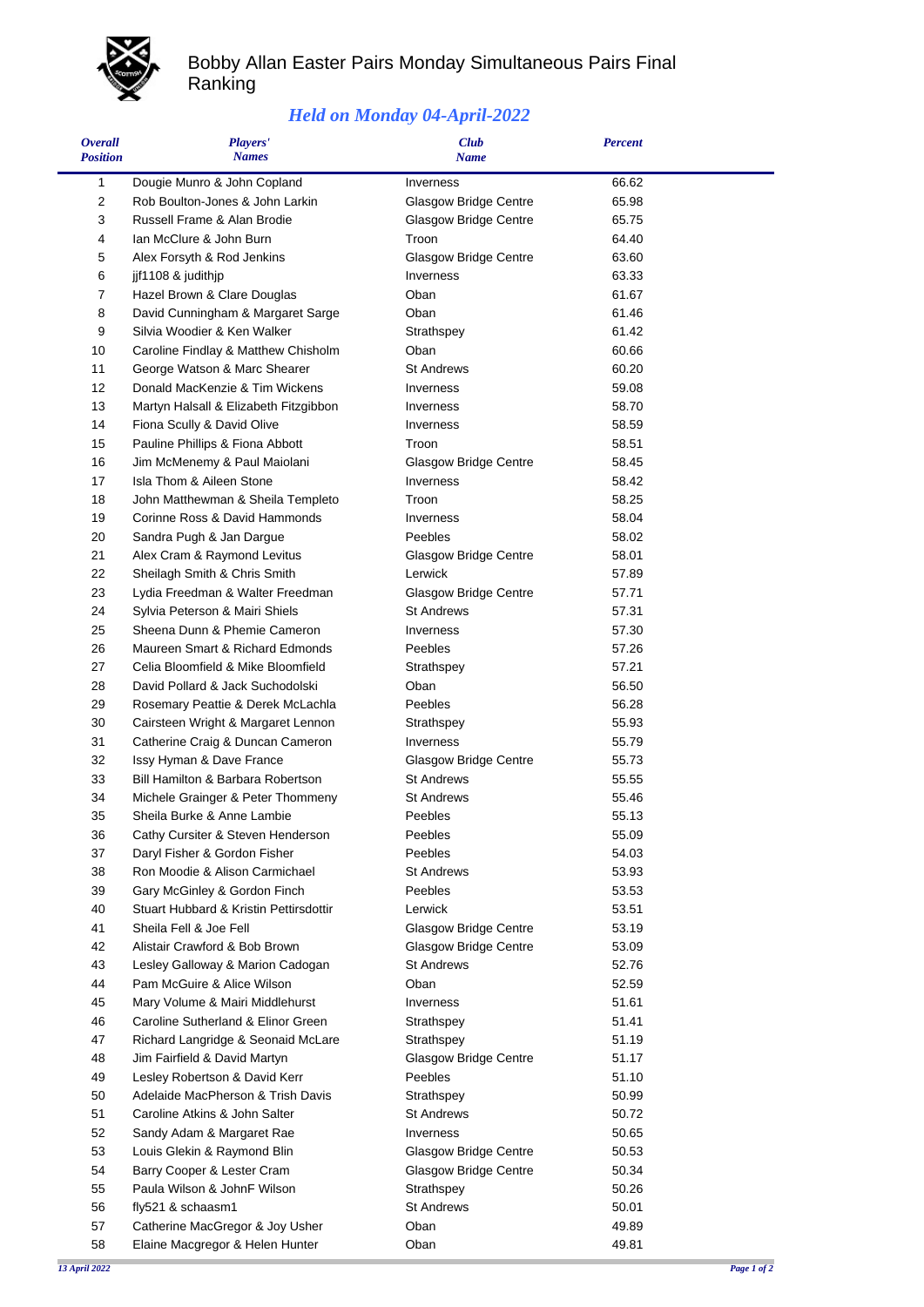

 $\blacksquare$ 

## Bobby Allan Easter Pairs Monday Simultaneous Pairs Final Ranking

## *Held on Monday 04-April-2022*

| <b>Overall</b><br><b>Position</b> | Players'<br><b>Names</b>                                          | <b>Club</b><br><b>Name</b>                 | <b>Percent</b> |  |
|-----------------------------------|-------------------------------------------------------------------|--------------------------------------------|----------------|--|
| 1                                 | Dougie Munro & John Copland                                       | Inverness                                  | 66.62          |  |
| 2                                 | Rob Boulton-Jones & John Larkin                                   | Glasgow Bridge Centre                      | 65.98          |  |
| 3                                 | Russell Frame & Alan Brodie                                       | Glasgow Bridge Centre                      | 65.75          |  |
| 4                                 | Ian McClure & John Burn                                           | Troon                                      | 64.40          |  |
| 5                                 | Alex Forsyth & Rod Jenkins                                        | <b>Glasgow Bridge Centre</b>               | 63.60          |  |
| 6                                 | jjf1108 & judithjp                                                | Inverness                                  | 63.33          |  |
| 7                                 | Hazel Brown & Clare Douglas                                       | Oban                                       | 61.67          |  |
| 8                                 | David Cunningham & Margaret Sarge                                 | Oban                                       | 61.46          |  |
| 9                                 | Silvia Woodier & Ken Walker                                       | Strathspey                                 | 61.42          |  |
| 10                                | Caroline Findlay & Matthew Chisholm                               | Oban                                       | 60.66          |  |
| 11                                | George Watson & Marc Shearer                                      | <b>St Andrews</b>                          | 60.20          |  |
| 12                                | Donald MacKenzie & Tim Wickens                                    | Inverness                                  | 59.08          |  |
| 13                                | Martyn Halsall & Elizabeth Fitzgibbon                             | Inverness                                  | 58.70          |  |
| 14                                | Fiona Scully & David Olive                                        | Inverness                                  | 58.59          |  |
| 15                                | Pauline Phillips & Fiona Abbott                                   | Troon                                      | 58.51          |  |
| 16                                | Jim McMenemy & Paul Maiolani                                      | <b>Glasgow Bridge Centre</b>               | 58.45          |  |
| 17                                | Isla Thom & Aileen Stone                                          | Inverness                                  | 58.42          |  |
| 18                                | John Matthewman & Sheila Templeto                                 | Troon                                      | 58.25          |  |
| 19                                | Corinne Ross & David Hammonds                                     | <b>Inverness</b>                           | 58.04          |  |
| 20                                | Sandra Pugh & Jan Dargue                                          | Peebles                                    | 58.02          |  |
| 21                                | Alex Cram & Raymond Levitus                                       | <b>Glasgow Bridge Centre</b>               | 58.01          |  |
| 22                                | Sheilagh Smith & Chris Smith                                      | Lerwick                                    | 57.89          |  |
| 23                                | Lydia Freedman & Walter Freedman                                  | <b>Glasgow Bridge Centre</b>               | 57.71          |  |
| 24                                | Sylvia Peterson & Mairi Shiels                                    | <b>St Andrews</b>                          | 57.31          |  |
| 25                                | Sheena Dunn & Phemie Cameron                                      | Inverness                                  | 57.30          |  |
| 26                                | Maureen Smart & Richard Edmonds                                   | Peebles                                    | 57.26          |  |
| 27                                | Celia Bloomfield & Mike Bloomfield                                | Strathspey                                 | 57.21          |  |
| 28                                | David Pollard & Jack Suchodolski                                  | Oban                                       | 56.50          |  |
| 29                                | Rosemary Peattie & Derek McLachla                                 | Peebles                                    | 56.28          |  |
| 30                                | Cairsteen Wright & Margaret Lennon                                | Strathspey                                 | 55.93          |  |
| 31                                | Catherine Craig & Duncan Cameron                                  | Inverness                                  | 55.79          |  |
| 32                                | Issy Hyman & Dave France                                          | <b>Glasgow Bridge Centre</b>               | 55.73          |  |
| 33                                | Bill Hamilton & Barbara Robertson                                 | <b>St Andrews</b>                          | 55.55          |  |
| 34                                | Michele Grainger & Peter Thommeny                                 | <b>St Andrews</b>                          | 55.46          |  |
| 35                                | Sheila Burke & Anne Lambie                                        | Peebles                                    | 55.13          |  |
| 36                                | Cathy Cursiter & Steven Henderson                                 | Peebles                                    | 55.09          |  |
| 37                                | Daryl Fisher & Gordon Fisher                                      | Peebles                                    | 54.03          |  |
| 38                                | Ron Moodie & Alison Carmichael                                    | <b>St Andrews</b>                          | 53.93          |  |
| 39                                | Gary McGinley & Gordon Finch                                      | Peebles                                    | 53.53          |  |
| 40                                | Stuart Hubbard & Kristin Pettirsdottir                            | Lerwick                                    | 53.51          |  |
| 41<br>42                          | Sheila Fell & Joe Fell                                            | Glasgow Bridge Centre                      | 53.19<br>53.09 |  |
| 43                                | Alistair Crawford & Bob Brown<br>Lesley Galloway & Marion Cadogan | Glasgow Bridge Centre<br><b>St Andrews</b> | 52.76          |  |
| 44                                | Pam McGuire & Alice Wilson                                        | Oban                                       | 52.59          |  |
| 45                                | Mary Volume & Mairi Middlehurst                                   | Inverness                                  | 51.61          |  |
| 46                                | Caroline Sutherland & Elinor Green                                | Strathspey                                 | 51.41          |  |
| 47                                | Richard Langridge & Seonaid McLare                                | Strathspey                                 | 51.19          |  |
| 48                                | Jim Fairfield & David Martyn                                      | Glasgow Bridge Centre                      | 51.17          |  |
| 49                                | Lesley Robertson & David Kerr                                     | Peebles                                    | 51.10          |  |
| 50                                | Adelaide MacPherson & Trish Davis                                 | Strathspey                                 | 50.99          |  |
| 51                                | Caroline Atkins & John Salter                                     | <b>St Andrews</b>                          | 50.72          |  |
| 52                                | Sandy Adam & Margaret Rae                                         | Inverness                                  | 50.65          |  |
| 53                                | Louis Glekin & Raymond Blin                                       | <b>Glasgow Bridge Centre</b>               | 50.53          |  |
| 54                                | Barry Cooper & Lester Cram                                        | Glasgow Bridge Centre                      | 50.34          |  |
| 55                                | Paula Wilson & JohnF Wilson                                       | Strathspey                                 | 50.26          |  |
| 56                                | fly521 & schaasm1                                                 | <b>St Andrews</b>                          | 50.01          |  |
| 57                                | Catherine MacGregor & Joy Usher                                   | Oban                                       | 49.89          |  |
| 58                                | Elaine Macgregor & Helen Hunter                                   | Oban                                       | 49.81          |  |